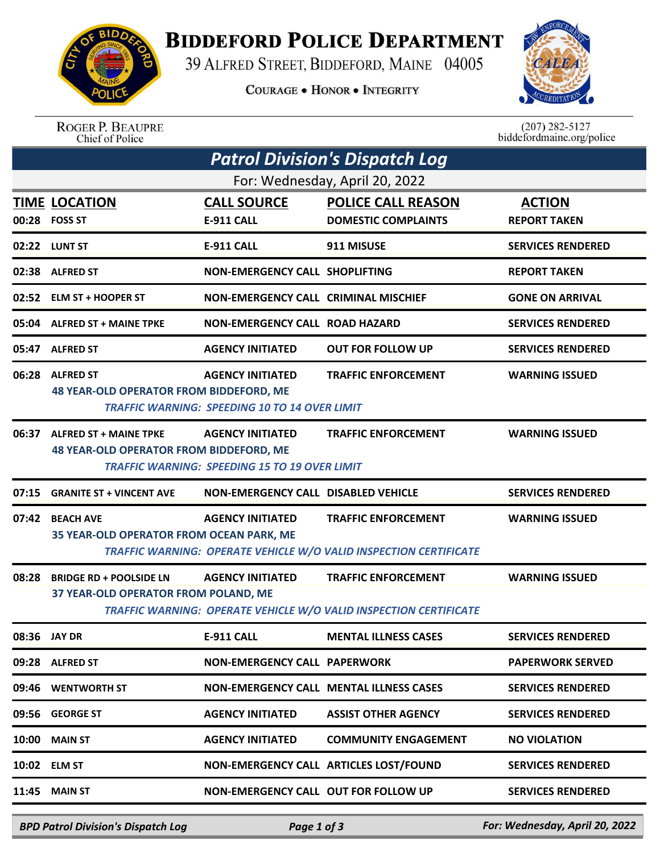

## **BIDDEFORD POLICE DEPARTMENT**

39 ALFRED STREET, BIDDEFORD, MAINE 04005

**COURAGE . HONOR . INTEGRITY** 



ROGER P. BEAUPRE<br>Chief of Police

 $(207)$  282-5127<br>biddefordmaine.org/police

| <b>Patrol Division's Dispatch Log</b> |                                                                                |                                                                                 |                                                                                                        |                                      |  |  |  |  |
|---------------------------------------|--------------------------------------------------------------------------------|---------------------------------------------------------------------------------|--------------------------------------------------------------------------------------------------------|--------------------------------------|--|--|--|--|
| For: Wednesday, April 20, 2022        |                                                                                |                                                                                 |                                                                                                        |                                      |  |  |  |  |
|                                       | <b>TIME LOCATION</b><br>00:28 FOSS ST                                          | <b>CALL SOURCE</b><br><b>E-911 CALL</b>                                         | <b>POLICE CALL REASON</b><br><b>DOMESTIC COMPLAINTS</b>                                                | <b>ACTION</b><br><b>REPORT TAKEN</b> |  |  |  |  |
|                                       | 02:22 LUNT ST                                                                  | <b>E-911 CALL</b>                                                               | 911 MISUSE                                                                                             | <b>SERVICES RENDERED</b>             |  |  |  |  |
|                                       | 02:38 ALFRED ST                                                                | NON-EMERGENCY CALL SHOPLIFTING                                                  |                                                                                                        | <b>REPORT TAKEN</b>                  |  |  |  |  |
|                                       | 02:52 ELM ST + HOOPER ST                                                       | <b>NON-EMERGENCY CALL CRIMINAL MISCHIEF</b>                                     |                                                                                                        | <b>GONE ON ARRIVAL</b>               |  |  |  |  |
|                                       | 05:04 ALFRED ST + MAINE TPKE                                                   | <b>NON-EMERGENCY CALL ROAD HAZARD</b>                                           |                                                                                                        | <b>SERVICES RENDERED</b>             |  |  |  |  |
|                                       | 05:47 ALFRED ST                                                                | <b>AGENCY INITIATED</b>                                                         | <b>OUT FOR FOLLOW UP</b>                                                                               | <b>SERVICES RENDERED</b>             |  |  |  |  |
|                                       | 06:28 ALFRED ST<br><b>48 YEAR-OLD OPERATOR FROM BIDDEFORD, ME</b>              | <b>AGENCY INITIATED</b>                                                         | <b>TRAFFIC ENFORCEMENT</b>                                                                             | <b>WARNING ISSUED</b>                |  |  |  |  |
|                                       |                                                                                | <b>TRAFFIC WARNING: SPEEDING 10 TO 14 OVER LIMIT</b>                            |                                                                                                        |                                      |  |  |  |  |
|                                       | 06:37 ALFRED ST + MAINE TPKE<br><b>48 YEAR-OLD OPERATOR FROM BIDDEFORD, ME</b> | <b>AGENCY INITIATED</b><br><b>TRAFFIC WARNING: SPEEDING 15 TO 19 OVER LIMIT</b> | <b>TRAFFIC ENFORCEMENT</b>                                                                             | <b>WARNING ISSUED</b>                |  |  |  |  |
| 07:15                                 | <b>GRANITE ST + VINCENT AVE</b>                                                | <b>NON-EMERGENCY CALL DISABLED VEHICLE</b>                                      |                                                                                                        | <b>SERVICES RENDERED</b>             |  |  |  |  |
| 07:42                                 | <b>BEACH AVE</b><br>35 YEAR-OLD OPERATOR FROM OCEAN PARK, ME                   | <b>AGENCY INITIATED</b>                                                         | <b>TRAFFIC ENFORCEMENT</b><br><b>TRAFFIC WARNING: OPERATE VEHICLE W/O VALID INSPECTION CERTIFICATE</b> | <b>WARNING ISSUED</b>                |  |  |  |  |
| 08:28                                 | <b>BRIDGE RD + POOLSIDE LN</b>                                                 | <b>AGENCY INITIATED</b>                                                         | <b>TRAFFIC ENFORCEMENT</b>                                                                             | <b>WARNING ISSUED</b>                |  |  |  |  |
|                                       | 37 YEAR-OLD OPERATOR FROM POLAND, ME                                           |                                                                                 | <b>TRAFFIC WARNING: OPERATE VEHICLE W/O VALID INSPECTION CERTIFICATE</b>                               |                                      |  |  |  |  |
|                                       | 08:36 JAY DR                                                                   | <b>E-911 CALL</b>                                                               | <b>MENTAL ILLNESS CASES</b>                                                                            | <b>SERVICES RENDERED</b>             |  |  |  |  |
|                                       | 09:28 ALFRED ST                                                                | <b>NON-EMERGENCY CALL PAPERWORK</b>                                             |                                                                                                        | <b>PAPERWORK SERVED</b>              |  |  |  |  |
|                                       | 09:46 WENTWORTH ST                                                             |                                                                                 | <b>NON-EMERGENCY CALL MENTAL ILLNESS CASES</b>                                                         | <b>SERVICES RENDERED</b>             |  |  |  |  |
|                                       | 09:56 GEORGE ST                                                                | <b>AGENCY INITIATED</b>                                                         | <b>ASSIST OTHER AGENCY</b>                                                                             | <b>SERVICES RENDERED</b>             |  |  |  |  |
|                                       | <b>10:00 MAIN ST</b>                                                           | <b>AGENCY INITIATED</b>                                                         | <b>COMMUNITY ENGAGEMENT</b>                                                                            | <b>NO VIOLATION</b>                  |  |  |  |  |
|                                       | 10:02 ELM ST                                                                   |                                                                                 | NON-EMERGENCY CALL ARTICLES LOST/FOUND                                                                 | <b>SERVICES RENDERED</b>             |  |  |  |  |
|                                       | $11:45$ MAIN ST                                                                | <b>NON-EMERGENCY CALL OUT FOR FOLLOW UP</b>                                     |                                                                                                        | <b>SERVICES RENDERED</b>             |  |  |  |  |
|                                       |                                                                                |                                                                                 |                                                                                                        |                                      |  |  |  |  |

*BPD Patrol Division's Dispatch Log Page 1 of 3 For: Wednesday, April 20, 2022*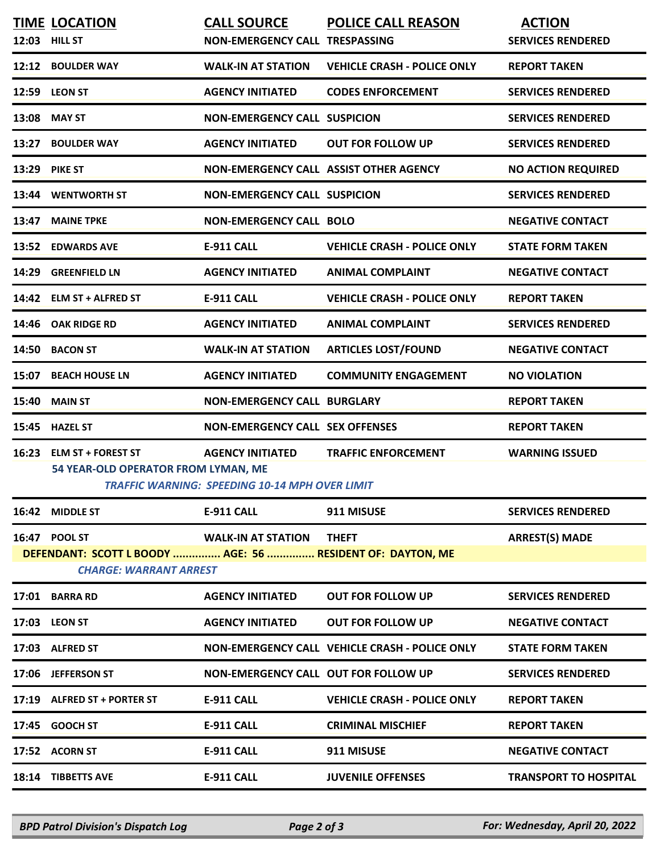|       | <b>TIME LOCATION</b><br>12:03 HILL ST                                                                        | <b>CALL SOURCE</b><br><b>NON-EMERGENCY CALL TRESPASSING</b>                      | <b>POLICE CALL REASON</b>                             | <b>ACTION</b><br><b>SERVICES RENDERED</b> |
|-------|--------------------------------------------------------------------------------------------------------------|----------------------------------------------------------------------------------|-------------------------------------------------------|-------------------------------------------|
|       | 12:12 BOULDER WAY                                                                                            | <b>WALK-IN AT STATION</b>                                                        | <b>VEHICLE CRASH - POLICE ONLY</b>                    | <b>REPORT TAKEN</b>                       |
|       | 12:59 LEON ST                                                                                                | <b>AGENCY INITIATED</b>                                                          | <b>CODES ENFORCEMENT</b>                              | <b>SERVICES RENDERED</b>                  |
|       | 13:08 MAY ST                                                                                                 | <b>NON-EMERGENCY CALL SUSPICION</b>                                              |                                                       | <b>SERVICES RENDERED</b>                  |
| 13:27 | <b>BOULDER WAY</b>                                                                                           | <b>AGENCY INITIATED</b>                                                          | <b>OUT FOR FOLLOW UP</b>                              | <b>SERVICES RENDERED</b>                  |
| 13:29 | <b>PIKE ST</b>                                                                                               | NON-EMERGENCY CALL ASSIST OTHER AGENCY                                           |                                                       | <b>NO ACTION REQUIRED</b>                 |
|       | 13:44 WENTWORTH ST                                                                                           | <b>NON-EMERGENCY CALL SUSPICION</b>                                              |                                                       | <b>SERVICES RENDERED</b>                  |
| 13:47 | <b>MAINE TPKE</b>                                                                                            | <b>NON-EMERGENCY CALL BOLO</b>                                                   |                                                       | <b>NEGATIVE CONTACT</b>                   |
|       | 13:52 EDWARDS AVE                                                                                            | <b>E-911 CALL</b>                                                                | <b>VEHICLE CRASH - POLICE ONLY</b>                    | <b>STATE FORM TAKEN</b>                   |
| 14:29 | <b>GREENFIELD LN</b>                                                                                         | <b>AGENCY INITIATED</b>                                                          | <b>ANIMAL COMPLAINT</b>                               | <b>NEGATIVE CONTACT</b>                   |
|       | 14:42 ELM ST + ALFRED ST                                                                                     | <b>E-911 CALL</b>                                                                | <b>VEHICLE CRASH - POLICE ONLY</b>                    | <b>REPORT TAKEN</b>                       |
| 14:46 | <b>OAK RIDGE RD</b>                                                                                          | <b>AGENCY INITIATED</b>                                                          | <b>ANIMAL COMPLAINT</b>                               | <b>SERVICES RENDERED</b>                  |
| 14:50 | <b>BACON ST</b>                                                                                              | <b>WALK-IN AT STATION</b>                                                        | <b>ARTICLES LOST/FOUND</b>                            | <b>NEGATIVE CONTACT</b>                   |
| 15:07 | <b>BEACH HOUSE LN</b>                                                                                        | <b>AGENCY INITIATED</b>                                                          | <b>COMMUNITY ENGAGEMENT</b>                           | <b>NO VIOLATION</b>                       |
| 15:40 | <b>MAIN ST</b>                                                                                               | <b>NON-EMERGENCY CALL BURGLARY</b>                                               |                                                       | <b>REPORT TAKEN</b>                       |
| 15:45 | <b>HAZEL ST</b>                                                                                              | <b>NON-EMERGENCY CALL SEX OFFENSES</b>                                           |                                                       | <b>REPORT TAKEN</b>                       |
| 16:23 | <b>ELM ST + FOREST ST</b><br>54 YEAR-OLD OPERATOR FROM LYMAN, ME                                             | <b>AGENCY INITIATED</b><br><b>TRAFFIC WARNING: SPEEDING 10-14 MPH OVER LIMIT</b> | <b>TRAFFIC ENFORCEMENT</b>                            | <b>WARNING ISSUED</b>                     |
|       | 16:42 MIDDLE ST                                                                                              | <b>E-911 CALL</b>                                                                | 911 MISUSE                                            | <b>SERVICES RENDERED</b>                  |
|       | 16:47 POOL ST<br>DEFENDANT: SCOTT L BOODY  AGE: 56  RESIDENT OF: DAYTON, ME<br><b>CHARGE: WARRANT ARREST</b> | <b>WALK-IN AT STATION</b>                                                        | <b>THEFT</b>                                          | <b>ARREST(S) MADE</b>                     |
|       | 17:01 BARRA RD                                                                                               | <b>AGENCY INITIATED</b>                                                          | <b>OUT FOR FOLLOW UP</b>                              | <b>SERVICES RENDERED</b>                  |
|       | 17:03 LEON ST                                                                                                | <b>AGENCY INITIATED</b>                                                          | <b>OUT FOR FOLLOW UP</b>                              | <b>NEGATIVE CONTACT</b>                   |
|       | 17:03 ALFRED ST                                                                                              |                                                                                  | <b>NON-EMERGENCY CALL VEHICLE CRASH - POLICE ONLY</b> | <b>STATE FORM TAKEN</b>                   |
|       | 17:06 JEFFERSON ST                                                                                           | NON-EMERGENCY CALL OUT FOR FOLLOW UP                                             |                                                       | <b>SERVICES RENDERED</b>                  |
|       | 17:19 ALFRED ST + PORTER ST                                                                                  | <b>E-911 CALL</b>                                                                | <b>VEHICLE CRASH - POLICE ONLY</b>                    | <b>REPORT TAKEN</b>                       |
| 17:45 | <b>GOOCH ST</b>                                                                                              | <b>E-911 CALL</b>                                                                | <b>CRIMINAL MISCHIEF</b>                              | <b>REPORT TAKEN</b>                       |
|       | 17:52 ACORN ST                                                                                               | <b>E-911 CALL</b>                                                                | 911 MISUSE                                            | <b>NEGATIVE CONTACT</b>                   |
|       | 18:14 TIBBETTS AVE                                                                                           | <b>E-911 CALL</b>                                                                | <b>JUVENILE OFFENSES</b>                              | <b>TRANSPORT TO HOSPITAL</b>              |